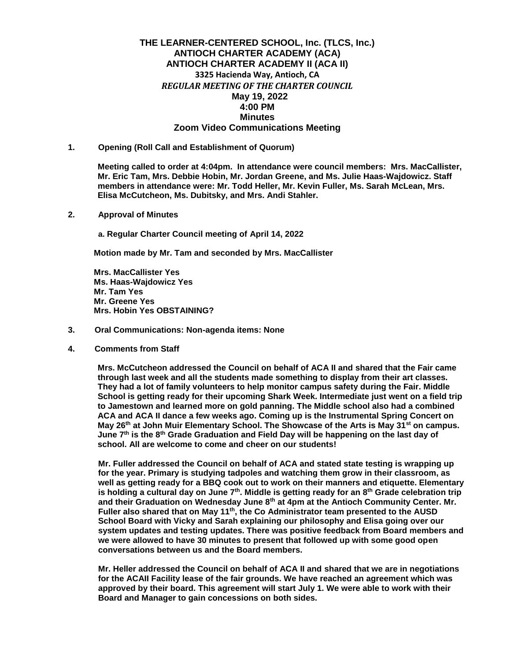# **THE LEARNER-CENTERED SCHOOL, Inc. (TLCS, Inc.) ANTIOCH CHARTER ACADEMY (ACA) ANTIOCH CHARTER ACADEMY II (ACA II) 3325 Hacienda Way, Antioch, CA** *REGULAR MEETING OF THE CHARTER COUNCIL*   **May 19, 2022 4:00 PM Minutes Zoom Video Communications Meeting**

**1. Opening (Roll Call and Establishment of Quorum)**

**Meeting called to order at 4:04pm. In attendance were council members: Mrs. MacCallister, Mr. Eric Tam, Mrs. Debbie Hobin, Mr. Jordan Greene, and Ms. Julie Haas-Wajdowicz. Staff members in attendance were: Mr. Todd Heller, Mr. Kevin Fuller, Ms. Sarah McLean, Mrs. Elisa McCutcheon, Ms. Dubitsky, and Mrs. Andi Stahler.** 

**2. Approval of Minutes** 

**a. Regular Charter Council meeting of April 14, 2022** 

**Motion made by Mr. Tam and seconded by Mrs. MacCallister**

**Mrs. MacCallister Yes Ms. Haas-Wajdowicz Yes Mr. Tam Yes Mr. Greene Yes Mrs. Hobin Yes OBSTAINING?**

- **3. Oral Communications: Non-agenda items: None**
- **4. Comments from Staff**

**Mrs. McCutcheon addressed the Council on behalf of ACA II and shared that the Fair came through last week and all the students made something to display from their art classes. They had a lot of family volunteers to help monitor campus safety during the Fair. Middle School is getting ready for their upcoming Shark Week. Intermediate just went on a field trip to Jamestown and learned more on gold panning. The Middle school also had a combined ACA and ACA II dance a few weeks ago. Coming up is the Instrumental Spring Concert on May 26th at John Muir Elementary School. The Showcase of the Arts is May 31st on campus. June 7th is the 8th Grade Graduation and Field Day will be happening on the last day of school. All are welcome to come and cheer on our students!** 

**Mr. Fuller addressed the Council on behalf of ACA and stated state testing is wrapping up for the year. Primary is studying tadpoles and watching them grow in their classroom, as well as getting ready for a BBQ cook out to work on their manners and etiquette. Elementary is holding a cultural day on June 7th. Middle is getting ready for an 8th Grade celebration trip and their Graduation on Wednesday June 8th at 4pm at the Antioch Community Center. Mr. Fuller also shared that on May 11th, the Co Administrator team presented to the AUSD School Board with Vicky and Sarah explaining our philosophy and Elisa going over our system updates and testing updates. There was positive feedback from Board members and we were allowed to have 30 minutes to present that followed up with some good open conversations between us and the Board members.** 

**Mr. Heller addressed the Council on behalf of ACA II and shared that we are in negotiations for the ACAII Facility lease of the fair grounds. We have reached an agreement which was approved by their board. This agreement will start July 1. We were able to work with their Board and Manager to gain concessions on both sides.**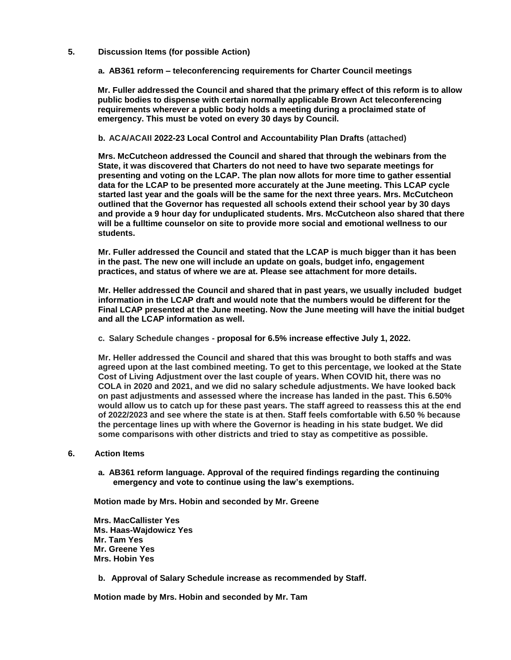## **5. Discussion Items (for possible Action)**

### **a. AB361 reform – teleconferencing requirements for Charter Council meetings**

**Mr. Fuller addressed the Council and shared that the primary effect of this reform is to allow public bodies to dispense with certain normally applicable Brown Act teleconferencing requirements wherever a public body holds a meeting during a proclaimed state of emergency. This must be voted on every 30 days by Council.** 

### **b. ACA/ACAII 2022-23 Local Control and Accountability Plan Drafts (attached)**

**Mrs. McCutcheon addressed the Council and shared that through the webinars from the State, it was discovered that Charters do not need to have two separate meetings for presenting and voting on the LCAP. The plan now allots for more time to gather essential data for the LCAP to be presented more accurately at the June meeting. This LCAP cycle started last year and the goals will be the same for the next three years. Mrs. McCutcheon outlined that the Governor has requested all schools extend their school year by 30 days and provide a 9 hour day for unduplicated students. Mrs. McCutcheon also shared that there will be a fulltime counselor on site to provide more social and emotional wellness to our students.** 

**Mr. Fuller addressed the Council and stated that the LCAP is much bigger than it has been in the past. The new one will include an update on goals, budget info, engagement practices, and status of where we are at. Please see attachment for more details.**

**Mr. Heller addressed the Council and shared that in past years, we usually included budget information in the LCAP draft and would note that the numbers would be different for the Final LCAP presented at the June meeting. Now the June meeting will have the initial budget and all the LCAP information as well.** 

**c. Salary Schedule changes - proposal for 6.5% increase effective July 1, 2022.**

**Mr. Heller addressed the Council and shared that this was brought to both staffs and was agreed upon at the last combined meeting. To get to this percentage, we looked at the State Cost of Living Adjustment over the last couple of years. When COVID hit, there was no COLA in 2020 and 2021, and we did no salary schedule adjustments. We have looked back on past adjustments and assessed where the increase has landed in the past. This 6.50% would allow us to catch up for these past years. The staff agreed to reassess this at the end of 2022/2023 and see where the state is at then. Staff feels comfortable with 6.50 % because the percentage lines up with where the Governor is heading in his state budget. We did some comparisons with other districts and tried to stay as competitive as possible.**

#### **6. Action Items**

**a. AB361 reform language. Approval of the required findings regarding the continuing emergency and vote to continue using the law's exemptions.**

**Motion made by Mrs. Hobin and seconded by Mr. Greene**

**Mrs. MacCallister Yes Ms. Haas-Wajdowicz Yes Mr. Tam Yes Mr. Greene Yes Mrs. Hobin Yes**

**b. Approval of Salary Schedule increase as recommended by Staff.**

**Motion made by Mrs. Hobin and seconded by Mr. Tam**